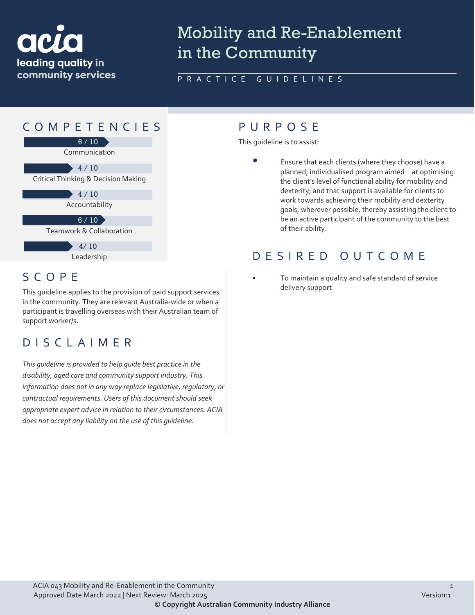

# Mobility and Re-Enablement in the Community

### PRACTICE GUIDELINES



## SCOPE

This guideline applies to the provision of paid support services in the community. They are relevant Australia-wide or when a participant is travelling overseas with their Australian team of support worker/s.

### DISCLAIMER

*This guideline is provided to help guide best practice in the disability, aged care and community support industry. This information does not in any way replace legislative, regulatory, or contractual requirements. Users of this document should seek appropriate expert advice in relation to their circumstances. ACIA does not accept any liability on the use of this guideline.*

This guideline is to assist:

• Ensure that each clients (where they choose) have a planned, individualised program aimed at optimising the client's level of functional ability for mobility and dexterity; and that support is available for clients to work towards achieving their mobility and dexterity goals, wherever possible, thereby assisting the client to be an active participant of the community to the best of their ability.

### DESIRED OUTCOME

• To maintain a quality and safe standard of service delivery support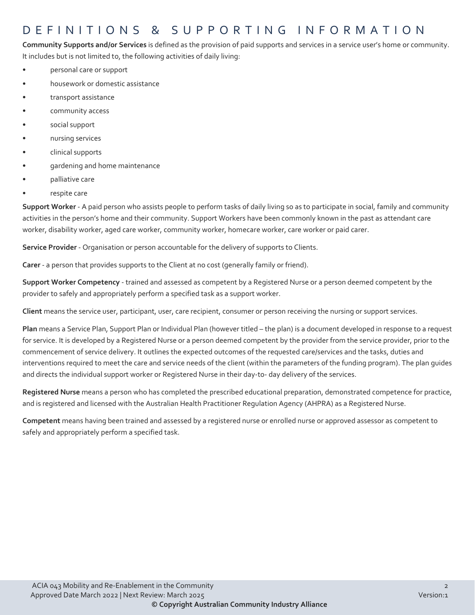### DEFINITIONS & SUPPORTING INFORMATIO N

**Community Supports and/or Services** is defined as the provision of paid supports and services in a service user's home or community. It includes but is not limited to, the following activities of daily living:

- personal care or support
- housework or domestic assistance
- transport assistance
- community access
- social support
- nursing services
- clinical supports
- gardening and home maintenance
- palliative care
- respite care

**Support Worker** - A paid person who assists people to perform tasks of daily living so as to participate in social, family and community activities in the person's home and their community. Support Workers have been commonly known in the past as attendant care worker, disability worker, aged care worker, community worker, homecare worker, care worker or paid carer.

**Service Provider** - Organisation or person accountable for the delivery of supports to Clients.

**Carer** - a person that provides supports to the Client at no cost (generally family or friend).

**Support Worker Competency** - trained and assessed as competent by a Registered Nurse or a person deemed competent by the provider to safely and appropriately perform a specified task as a support worker.

**Client** means the service user, participant, user, care recipient, consumer or person receiving the nursing or support services.

**Plan** means a Service Plan, Support Plan or Individual Plan (however titled – the plan) is a document developed in response to a request for service. It is developed by a Registered Nurse or a person deemed competent by the provider from the service provider, prior to the commencement of service delivery. It outlines the expected outcomes of the requested care/services and the tasks, duties and interventions required to meet the care and service needs of the client (within the parameters of the funding program). The plan guides and directs the individual support worker or Registered Nurse in their day-to- day delivery of the services.

**Registered Nurse** means a person who has completed the prescribed educational preparation, demonstrated competence for practice, and is registered and licensed with the Australian Health Practitioner Regulation Agency (AHPRA) as a Registered Nurse.

**Competent** means having been trained and assessed by a registered nurse or enrolled nurse or approved assessor as competent to safely and appropriately perform a specified task.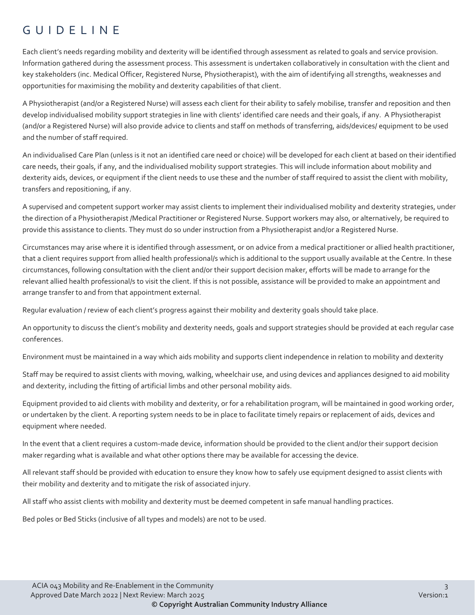### GUIDELINE

Each client's needs regarding mobility and dexterity will be identified through assessment as related to goals and service provision. Information gathered during the assessment process. This assessment is undertaken collaboratively in consultation with the client and key stakeholders (inc. Medical Officer, Registered Nurse, Physiotherapist), with the aim of identifying all strengths, weaknesses and opportunities for maximising the mobility and dexterity capabilities of that client.

A Physiotherapist (and/or a Registered Nurse) will assess each client for their ability to safely mobilise, transfer and reposition and then develop individualised mobility support strategies in line with clients' identified care needs and their goals, if any. A Physiotherapist (and/or a Registered Nurse) will also provide advice to clients and staff on methods of transferring, aids/devices/ equipment to be used and the number of staff required.

An individualised Care Plan (unless is it not an identified care need or choice) will be developed for each client at based on their identified care needs, their goals, if any, and the individualised mobility support strategies. This will include information about mobility and dexterity aids, devices, or equipment if the client needs to use these and the number of staff required to assist the client with mobility, transfers and repositioning, if any.

A supervised and competent support worker may assist clients to implement their individualised mobility and dexterity strategies, under the direction of a Physiotherapist /Medical Practitioner or Registered Nurse. Support workers may also, or alternatively, be required to provide this assistance to clients. They must do so under instruction from a Physiotherapist and/or a Registered Nurse.

Circumstances may arise where it is identified through assessment, or on advice from a medical practitioner or allied health practitioner, that a client requires support from allied health professional/s which is additional to the support usually available at the Centre. In these circumstances, following consultation with the client and/or their support decision maker, efforts will be made to arrange for the relevant allied health professional/s to visit the client. If this is not possible, assistance will be provided to make an appointment and arrange transfer to and from that appointment external.

Regular evaluation / review of each client's progress against their mobility and dexterity goals should take place.

An opportunity to discuss the client's mobility and dexterity needs, goals and support strategies should be provided at each regular case conferences.

Environment must be maintained in a way which aids mobility and supports client independence in relation to mobility and dexterity

Staff may be required to assist clients with moving, walking, wheelchair use, and using devices and appliances designed to aid mobility and dexterity, including the fitting of artificial limbs and other personal mobility aids.

Equipment provided to aid clients with mobility and dexterity, or for a rehabilitation program, will be maintained in good working order, or undertaken by the client. A reporting system needs to be in place to facilitate timely repairs or replacement of aids, devices and equipment where needed.

In the event that a client requires a custom-made device, information should be provided to the client and/or their support decision maker regarding what is available and what other options there may be available for accessing the device.

All relevant staff should be provided with education to ensure they know how to safely use equipment designed to assist clients with their mobility and dexterity and to mitigate the risk of associated injury.

All staff who assist clients with mobility and dexterity must be deemed competent in safe manual handling practices.

Bed poles or Bed Sticks (inclusive of all types and models) are not to be used.